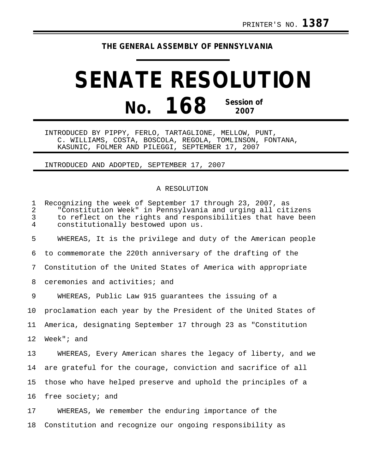## **THE GENERAL ASSEMBLY OF PENNSYLVANIA**

## **SENATE RESOLUTION No. 168 Session of 2007**

INTRODUCED BY PIPPY, FERLO, TARTAGLIONE, MELLOW, PUNT, C. WILLIAMS, COSTA, BOSCOLA, REGOLA, TOMLINSON, FONTANA, KASUNIC, FOLMER AND PILEGGI, SEPTEMBER 17, 2007

INTRODUCED AND ADOPTED, SEPTEMBER 17, 2007

## A RESOLUTION

| $\mathbf 1$<br>$\overline{2}$<br>$\mathfrak{Z}$<br>$\overline{4}$ | Recognizing the week of September 17 through 23, 2007, as<br>"Constitution Week" in Pennsylvania and urging all citizens<br>to reflect on the rights and responsibilities that have been<br>constitutionally bestowed upon us. |
|-------------------------------------------------------------------|--------------------------------------------------------------------------------------------------------------------------------------------------------------------------------------------------------------------------------|
| 5                                                                 | WHEREAS, It is the privilege and duty of the American people                                                                                                                                                                   |
| 6                                                                 | to commemorate the 220th anniversary of the drafting of the                                                                                                                                                                    |
| 7                                                                 | Constitution of the United States of America with appropriate                                                                                                                                                                  |
| 8                                                                 | ceremonies and activities; and                                                                                                                                                                                                 |
| 9                                                                 | WHEREAS, Public Law 915 guarantees the issuing of a                                                                                                                                                                            |
| 10 <sub>1</sub>                                                   | proclamation each year by the President of the United States of                                                                                                                                                                |
| 11                                                                | America, designating September 17 through 23 as "Constitution                                                                                                                                                                  |
| 12 <sup>°</sup>                                                   | Week" $i$ and                                                                                                                                                                                                                  |
| 13                                                                | WHEREAS, Every American shares the legacy of liberty, and we                                                                                                                                                                   |
| 14                                                                | are grateful for the courage, conviction and sacrifice of all                                                                                                                                                                  |
| 15                                                                | those who have helped preserve and uphold the principles of a                                                                                                                                                                  |
| 16                                                                | free society; and                                                                                                                                                                                                              |
| 17                                                                | WHEREAS, We remember the enduring importance of the                                                                                                                                                                            |
| 18                                                                | Constitution and recognize our ongoing responsibility as                                                                                                                                                                       |